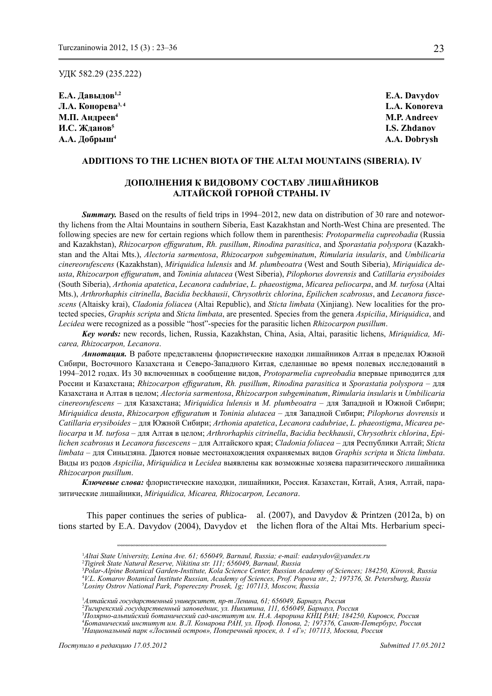УДК 582.29 (235.222)

**Е.А. Давыдов1,2 E.A. Davydov Л.А. Конорева3, 4 L.A. Konoreva** М.П. Андреев<sup>4</sup> М.Р. Аndreev **И.С. Жданов<sup>5</sup> I.S. Zhdanov А.А. Добрыш4 A.A. Dobrysh**

# **Additions to the lichen biota of THE Altai Mountains (SIBERIA). IV**

# **Дополнения к видовому составу лишайников Алтайской горной страны. IV**

**Summary.** Based on the results of field trips in 1994–2012, new data on distribution of 30 rare and noteworthy lichens from the Altai Mountains in southern Siberia, East Kazakhstan and North-West China are presented. The following species are new for certain regions which follow them in parenthesis: *Protoparmelia cupreobadia* (Russia and Kazakhstan), *Rhizocarpon effiguratum*, *Rh. pusillum*, *Rinodina parasitica*, and *Sporastatia polyspora* (Kazakhstan and the Altai Mts.), *Alectoria sarmentosa*, *Rhizocarpon subgeminatum*, *Rimularia insularis*, and *Umbilicaria cinereorufescens* (Kazakhstan), *Miriquidica lulensis* and *M. plumbeoatra* (West and South Siberia), *Miriquidica deusta*, *Rhizocarpon effiguratum*, and *Toninia alutacea* (West Siberia), *Pilophorus dovrensis* and *Catillaria erysiboides*  (South Siberia), *Arthonia apatetica*, *Lecanora cadubriae*, *L. phaeostigma*, *Micarea peliocarpa*, and *M. turfosa* (Altai Mts.), *Arthrorhaphis citrinella*, *Bacidia beckhausii*, *Chrysothrix chlorina*, *Epilichen scabrosus*, and *Lecanora fuscescens* (Altaisky krai), *Cladonia foliacea* (Altai Republic), and *Sticta limbata* (Xinjiang). New localities for the protected species, *Graphis scripta* and *Sticta limbata*, are presented. Species from the genera *Aspicilia*, *Miriquidica*, and *Lecidea* were recognized as a possible "host"-species for the parasitic lichen *Rhizocarpon pusillum*.

*Key words:* new records, lichen, Russia, Kazakhstan, China, Asia, Altai, parasitic lichens, *Miriquidica, Micarea, Rhizocarpon, Lecanora*.

*Аннотация.* В работе представлены флористические находки лишайников Алтая в пределах Южной Сибири, Восточного Казахстана и Северо-Западного Китая, сделанные во время полевых исследований в 1994–2012 годах. Из 30 включенных в сообщение видов, *Protoparmelia cupreobadia* впервые приводится для России и Казахстана; *Rhizocarpon effiguratum*, *Rh. pusillum*, *Rinodina parasitica* и *Sporastatia polyspora* – для Казахстана и Алтая в целом; *Alectoria sarmentosa*, *Rhizocarpon subgeminatum*, *Rimularia insularis* и *Umbilicaria cinereorufescens* – для Казахстана; *Miriquidica lulensis* и *M. plumbeoatra* – для Западной и Южной Сибири; *Miriquidica deusta*, *Rhizocarpon effiguratum* и *Toninia alutacea* – для Западной Сибири; *Pilophorus dovrensis* и *Catillaria erysiboides* – для Южной Сибири; *Arthonia apatetica*, *Lecanora cadubriae*, *L. phaeostigma*, *Micarea peliocarpa* и *M. turfosa* – для Алтая в целом; *Arthrorhaphis citrinella*, *Bacidia beckhausii*, *Chrysothrix chlorina*, *Epilichen scabrosus* и *Lecanora fuscescens* – для Алтайского края; *Cladonia foliacea* – для Республики Алтай; *Sticta limbata* – для Синьцзяна. Даются новые местонахождения охраняемых видов *Graphis scripta* и *Sticta limbata*. Виды из родов *Aspicilia*, *Miriquidica* и *Lecidea* выявлены как возможные хозяева паразитического лишайника *Rhizocarpon pusillum*.

*Ключевые слова:* флористические находки, лишайники, Россия. Казахстан, Китай, Азия, Алтай, паразитические лишайники, *Miriquidica, Micarea, Rhizocarpon, Lecanora*.

This paper continues the series of publications started by E.A. Davydov (2004), Davydov et the lichen flora of the Altai Mts. Herbarium special.  $(2007)$ , and Davydov & Printzen  $(2012a, b)$  on

<sup>&</sup>lt;sup>1</sup>Altai State University, Lenina Ave. 61; 656049, Barnaul, Russia; e-mail: eadavydov@yandex.ru<br><sup>2</sup>Tigirek State Natural Reserve, Nikitina str. 111: 656049, Barnaul, Russia

*Tigirek State Natural Reserve, Nikitina str. 111; 656049, Barnaul, Russia*

<sup>3</sup> *Polar-Alpine Botanical Garden-Institute, Kola Science Center, Russian Academy of Sciences; 184250, Kirovsk, Russia* 4 *V.L. Komarov Botanical Institute Russian, Academy of Sciences, Prof. Popova str., 2; 197376, St. Petersburg, Russia* 5 *Losiny Ostrov National Park, Popereczny Prosek, 1g; 107113, Moscow, Russia*

<sup>1</sup> *Алтайский государственный университет, пр-т Ленина, 61; 656049, Барнаул, Россия*

<sup>&</sup>lt;sup>2</sup>Тигирекский государственный заповедник, ул. Никитина, 111, 656049, Барнаул, Россия<br><sup>3</sup>Полярно-альпийский ботанический сад-институт им. Н.А. Аврорина КНЦ РАН; 184250, Кировск, Россия

<sup>4</sup> *Ботанический институт им. В.Л. Комарова РАН, ул. Проф. Попова, 2; 197376, Санкт-Петербург, Россия* 5 *Национальный парк «Лосиный остров», Поперечный просек, д. 1 «Г»; 107113, Москва, Россия*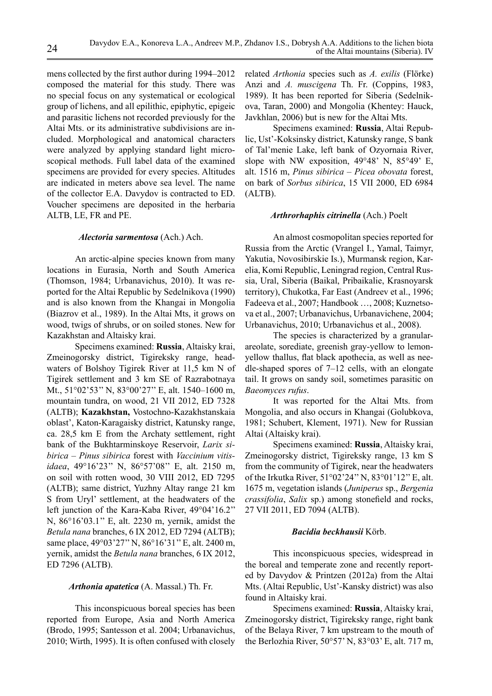mens collected by the first author during 1994–2012 composed the material for this study. There was no special focus on any systematical or ecological group of lichens, and all epilithic, epiphytic, epigeic and parasitic lichens not recorded previously for the Altai Mts. or its administrative subdivisions are included. Morphological and anatomical characters were analyzed by applying standard light microscopical methods. Full label data of the examined specimens are provided for every species. Altitudes are indicated in meters above sea level. The name of the collector E.A. Davydov is contracted to ED. Voucher specimens are deposited in the herbaria ALTB, LE, FR and PE.

## *Alectoria sarmentosa* (Ach.) Ach.

An arctic-alpine species known from many locations in Eurasia, North and South America (Thomson, 1984; Urbanavichus, 2010). It was reported for the Altai Republic by Sedelnikova (1990) and is also known from the Khangai in Mongolia (Biazrov et al., 1989). In the Altai Mts, it grows on wood, twigs of shrubs, or on soiled stones. New for Kazakhstan and Altaisky krai.

Specimens examined: **Russia**, Altaisky krai, Zmeinogorsky district, Tigireksky range, headwaters of Bolshoy Tigirek River at 11,5 km N of Tigirek settlement and 3 km SE of Razrabotnaya Mt., 51°02'53'' N, 83°00'27'' E, alt. 1540–1600 m, mountain tundra, on wood, 21 VII 2012, ED 7328 (ALTB); **Kazakhstan,** Vostochno-Kazakhstanskaia oblast', Katon-Karagaisky district, Katunsky range, ca. 28,5 km Е from the Archaty settlement, right bank of the Bukhtarminskoye Reservoir, *Larix sibirica – Pinus sibirica* forest with *Vaccinium vitisidaea*, 49°16'23'' N, 86°57'08'' E, alt. 2150 m, on soil with rotten wood, 30 VIII 2012, ED 7295 (ALTB); same district, Yuzhny Altay range 21 km S from Uryl' settlement, at the headwaters of the left junction of the Kara-Kaba River, 49°04'16.2'' N, 86°16'03.1'' E, alt. 2230 m, yernik, amidst the *Betula nana* branches, 6 IX 2012, ED 7294 (ALTB); same place, 49°03'27'' N, 86°16'31'' E, alt. 2400 m, yernik, amidst the *Betula nana* branches, 6 IX 2012, ED 7296 (ALTB).

### *Arthonia apatetica* (A. Massal.) Th. Fr.

This inconspicuous boreal species has been reported from Europe, Asia and North America (Brodo, 1995; Santesson et al. 2004; Urbanavichus, 2010; Wirth, 1995). It is often confused with closely related *Arthonia* species such as *A. exilis* (Flörke) Anzi and *A. muscigena* Th. Fr. (Coppins, 1983, 1989). It has been reported for Siberia (Sedelnikova, Taran, 2000) and Mongolia (Khentey: Hauck, Javkhlan, 2006) but is new for the Altai Mts.

Specimens examined: **Russia**, Altai Republic, Ust'-Koksinsky district, Katunsky range, S bank of Tal'menie Lake, left bank of Ozyornaia River, slope with NW exposition, 49°48' N, 85°49' E, alt. 1516 m, *Pinus sibirica – Picea obovata* forest, on bark of *Sorbus sibirica*, 15 VII 2000, ED 6984 (ALTB).

### *Arthrorhaphis citrinella* (Ach.) Poelt

An almost cosmopolitan species reported for Russia from the Arctic (Vrangel I., Yamal, Taimyr, Yakutia, Novosibirskie Is.), Murmansk region, Karelia, Komi Republic, Leningrad region, Central Russia, Ural, Siberia (Baikal, Pribaikalie, Krasnoyarsk territory), Chukotka, Far East (Andreev et al., 1996; Fadeeva et al., 2007; Handbook …, 2008; Kuznetsova et al., 2007; Urbanavichus, Urbanavichene, 2004; Urbanavichus, 2010; Urbanavichus et al., 2008).

The species is characterized by a granularareolate, sorediate, greenish gray-yellow to lemonyellow thallus, flat black apothecia, as well as needle-shaped spores of 7–12 cells, with an elongate tail. It grows on sandy soil, sometimes parasitic on *Baeomyces rufus*.

It was reported for the Altai Mts. from Mongolia, and also occurs in Khangai (Golubkova, 1981; Schubert, Klement, 1971). New for Russian Altai (Altaisky krai).

Specimens examined: **Russia**, Altaisky krai, Zmeinogorsky district, Tigireksky range, 13 km S from the community of Tigirek, near the headwaters of the Irkutka River, 51°02'24'' N, 83°01'12'' E, alt. 1675 m, vegetation islands (*Juniperus* sp., *Bergenia crassifolia*, *Salix* sp.) among stonefield and rocks, 27 VII 2011, ED 7094 (ALTB).

### *Bacidia beckhausii* Körb.

This inconspicuous species, widespread in the boreal and temperate zone and recently reported by Davydov & Printzen (2012a) from the Altai Mts. (Altai Republic, Ust'-Kansky district) was also found in Altaisky krai.

Specimens examined: **Russia**, Altaisky krai, Zmeinogorsky district, Tigireksky range, right bank of the Belaya River, 7 km upstream to the mouth of the Berlozhia River, 50°57' N, 83°03' E, alt. 717 m,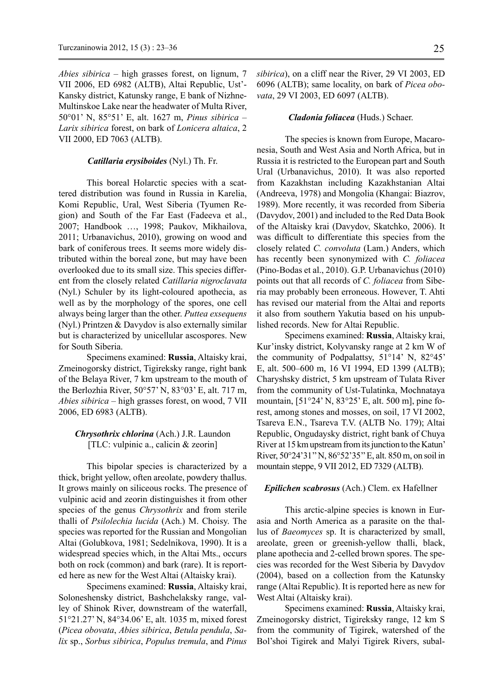*Abies sibirica* – high grasses forest, on lignum, 7 VII 2006, ED 6982 (ALTB), Altai Republic, Ust'- Kansky district, Katunsky range, E bank of Nizhne-Multinskoe Lake near the headwater of Multa River, 50°01' N, 85°51' E, alt. 1627 m, *Pinus sibirica* – *Larix sibirica* forest, on bark of *Lonicera altaica*, 2 VII 2000, ED 7063 (ALTB).

## *Catillaria erysiboides* (Nyl.) Th. Fr.

This boreal Holarctic species with a scattered distribution was found in Russia in Karelia, Komi Republic, Ural, West Siberia (Tyumen Region) and South of the Far East (Fadeeva et al., 2007; Handbook …, 1998; Paukov, Mikhailova, 2011; Urbanavichus, 2010), growing on wood and bark of coniferous trees. It seems more widely distributed within the boreal zone, but may have been overlooked due to its small size. This species different from the closely related *Catillaria nigroclavata* (Nyl.) Schuler by its light-coloured apothecia, as well as by the morphology of the spores, one cell always being larger than the other. *Puttea exsequens* (Nyl.) Printzen & Davydov is also externally similar but is characterized by unicellular ascospores. New for South Siberia.

Specimens examined: **Russia**, Altaisky krai, Zmeinogorsky district, Tigireksky range, right bank of the Belaya River, 7 km upstream to the mouth of the Berlozhia River, 50°57' N, 83°03' E, alt. 717 m, *Abies sibirica* – high grasses forest, on wood, 7 VII 2006, ED 6983 (ALTB).

## *Chrysothrix chlorina* (Ach.) J.R. Laundon [TLC: vulpinic a., calicin & zeorin]

This bipolar species is characterized by a thick, bright yellow, often areolate, powdery thallus. It grows mainly on siliceous rocks. The presence of vulpinic acid and zeorin distinguishes it from other species of the genus *Chrysothrix* and from sterile thalli of *Psilolechia lucida* (Ach.) M. Choisy. The species was reported for the Russian and Mongolian Altai (Golubkova, 1981; Sedelnikova, 1990). It is a widespread species which, in the Altai Mts., occurs both on rock (common) and bark (rare). It is reported here as new for the West Altai (Altaisky krai).

Specimens examined: **Russia**, Altaisky krai, Soloneshensky district, Bashchelaksky range, valley of Shinok River, downstream of the waterfall, 51°21.27' N, 84°34.06' E, alt. 1035 m, mixed forest (*Picea obovata*, *Abies sibirica*, *Betula pendula*, *Salix* sp., *Sorbus sibirica*, *Populus tremula*, and *Pinus*  *sibirica*), on a cliff near the River, 29 VI 2003, ED 6096 (ALTB); same locality, on bark of *Picea obovata*, 29 VI 2003, ED 6097 (ALTB).

### *Cladonia foliacea* (Huds.) Schaer.

The species is known from Europe, Macaronesia, South and West Asia and North Africa, but in Russia it is restricted to the European part and South Ural (Urbanavichus, 2010). It was also reported from Kazakhstan including Kazakhstanian Altai (Andreeva, 1978) and Mongolia (Khangai: Biazrov, 1989). More recently, it was recorded from Siberia (Davydov, 2001) and included to the Red Data Book of the Altaisky krai (Davydov, Skatchko, 2006). It was difficult to differentiate this species from the closely related *C. convoluta* (Lam.) Anders, which has recently been synonymized with *C. foliacea* (Pino*-*Bodas et al., 2010). G.P. Urbanavichus (2010) points out that all records of *C. foliacea* from Siberia may probably been erroneous. However, T. Ahti has revised our material from the Altai and reports it also from southern Yakutia based on his unpublished records. New for Altai Republic.

Specimens examined: **Russia**, Altaisky krai, Kur'insky district, Kolyvansky range at 2 km W of the community of Podpalattsy, 51°14' N, 82°45' E, alt. 500–600 m, 16 VI 1994, ED 1399 (ALTB); Charyshsky district, 5 km upstream of Tulata River from the community of Ust-Tulatinka, Mochnataya mountain, [51°24' N, 83°25' E, alt. 500 m], pine forest, among stones and mosses, on soil, 17 VI 2002, Tsareva E.N., Tsareva T.V. (ALTB No. 179); Altai Republic, Ongudaysky district, right bank of Chuya River at 15 km upstream from its junction to the Katun' River, 50°24'31'' N, 86°52'35'' E, alt. 850 m, on soil in mountain steppe, 9 VII 2012, ED 7329 (ALTB).

#### *Epilichen scabrosus* (Ach.) Clem. ex Hafellner

This arctic-alpine species is known in Eurasia and North America as a parasite on the thallus of *Baeomyces* sp. It is characterized by small, areolate, green or greenish-yellow thalli, black, plane apothecia and 2-celled brown spores. The species was recorded for the West Siberia by Davydov (2004), based on a collection from the Katunsky range (Altai Republic). It is reported here as new for West Altai (Altaisky krai).

Specimens examined: **Russia**, Altaisky krai, Zmeinogorsky district, Tigireksky range, 12 km S from the community of Tigirek, watershed of the Bol'shoi Tigirek and Malyi Tigirek Rivers, subal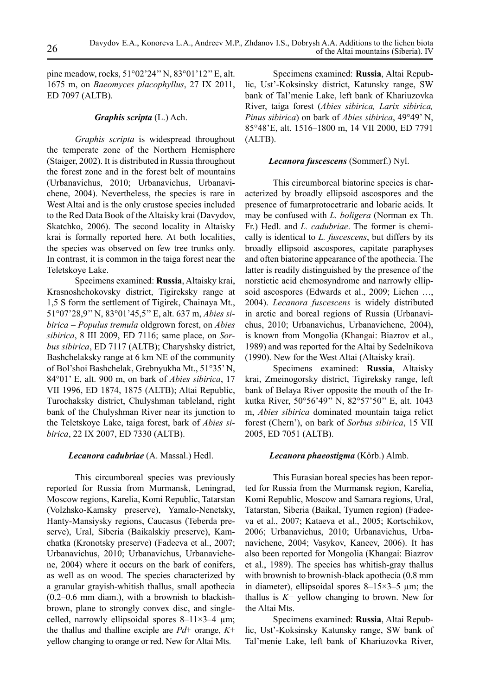pine meadow, rocks, 51°02'24'' N, 83°01'12'' E, alt. 1675 m, on *Baeomyces placophyllus*, 27 IX 2011, ED 7097 (ALTB).

# *Graphis scripta* (L.) Ach.

*Graphis scripta* is widespread throughout the temperate zone of the Northern Hemisphere (Staiger, 2002). It is distributed in Russia throughout the forest zone and in the forest belt of mountains (Urbanavichus, 2010; Urbanavichus, Urbanavichene, 2004). Nevertheless, the species is rare in West Altai and is the only crustose species included to the Red Data Book of the Altaisky krai (Davydov, Skatchko, 2006). The second locality in Altaisky krai is formally reported here. At both localities, the species was observed on few tree trunks only. In contrast, it is common in the taiga forest near the Teletskoye Lake.

Specimens examined: **Russia**, Altaisky krai, Krasnoshchokovsky district, Tigireksky range at 1,5 S form the settlement of Tigirek, Chainaya Mt., 51°07'28,9'' N, 83°01'45,5'' E, alt. 637 m, *Abies sibirica – Populus tremula* oldgrown forest, on *Abies sibirica*, 8 III 2009, ED 7116; same place, on *Sorbus sibirica*, ED 7117 (ALTB); Charyshsky district, Bashchelaksky range at 6 km NE of the community of Bol'shoi Bashchelak, Grebnyukha Mt., 51°35' N, 84°01' E, alt. 900 m, on bark of *Abies sibirica*, 17 VII 1996, ED 1874, 1875 (ALTB); Altai Republic, Turochaksky district, Chulyshman tableland, right bank of the Chulyshman River near its junction to the Teletskoye Lake, taiga forest, bark of *Abies sibirica*, 22 IX 2007, ED 7330 (ALTB).

## *Lecanora cadubriae* (A. Massal.) Hedl.

This circumboreal species was previously reported for Russia from Murmansk, Leningrad, Moscow regions, Karelia, Komi Republic, Tatarstan (Volzhsko-Kamsky preserve), Yamalo-Nenetsky, Hanty-Mansiysky regions, Caucasus (Teberda preserve), Ural, Siberia (Baikalskiy preserve), Kamchatka (Kronotsky preserve) (Fadeeva et al., 2007; Urbanavichus, 2010; Urbanavichus, Urbanavichene, 2004) where it occurs on the bark of conifers, as well as on wood. The species characterized by a granular grayish-whitish thallus, small apothecia (0.2–0.6 mm diam.), with a brownish to blackishbrown, plane to strongly convex disc, and singlecelled, narrowly ellipsoidal spores  $8-11\times3-4$  µm; the thallus and thalline exciple are *Pd*+ orange, *K*+ yellow changing to orange or red. New for Altai Mts.

Specimens examined: **Russia**, Altai Republic, Ust'-Koksinsky district, Katunsky range, SW bank of Tal'menie Lake, left bank of Khariuzovka River, taiga forest (*Abies sibirica, Larix sibirica, Pinus sibirica*) on bark of *Abies sibirica*, 49°49' N, 85°48'E, alt. 1516–1800 m, 14 VII 2000, ED 7791 (ALTB).

# *Lecanora fuscescens* (Sommerf.) Nyl.

This circumboreal biatorine species is characterized by broadly ellipsoid ascospores and the presence of fumarprotocetraric and lobaric acids. It may be confused with *L. boligera* (Norman ex Th. Fr.) Hedl. and *L. cadubriae*. The former is chemically is identical to *L. fuscescens*, but differs by its broadly ellipsoid ascospores, capitate paraphyses and often biatorine appearance of the apothecia. The latter is readily distinguished by the presence of the norstictic acid chemosyndrome and narrowly ellipsoid ascospores (Edwards et al., 2009; Lichen …, 2004). *Lecanora fuscescens* is widely distributed in arctic and boreal regions of Russia (Urbanavichus, 2010; Urbanavichus, Urbanavichene, 2004), is known from Mongolia (Khangai: Biazrov et al., 1989) and was reported for the Altai by Sedelnikova (1990). New for the West Altai (Altaisky krai).

Specimens examined: **Russia**, Altaisky krai, Zmeinogorsky district, Tigireksky range, left bank of Belaya River opposite the mouth of the Irkutka River, 50°56'49'' N, 82°57'50'' E, alt. 1043 m, *Abies sibirica* dominated mountain taiga relict forest (Chern'), on bark of *Sorbus sibirica*, 15 VII 2005, ED 7051 (ALTB).

# *Lecanora phaeostigma* (Körb.) Almb.

This Eurasian boreal species has been reported for Russia from the Murmansk region, Karelia, Komi Republic, Moscow and Samara regions, Ural, Tatarstan, Siberia (Baikal, Tyumen region) (Fadeeva et al., 2007; Kataeva et al., 2005; Kortschikov, 2006; Urbanavichus, 2010; Urbanavichus, Urbanavichene, 2004; Vasykov, Kaneev, 2006). It has also been reported for Mongolia (Khangai: Biazrov et al., 1989). The species has whitish-gray thallus with brownish to brownish-black apothecia (0.8 mm in diameter), ellipsoidal spores  $8-15\times3-5$  µm; the thallus is  $K^+$  yellow changing to brown. New for the Altai Mts.

Specimens examined: **Russia**, Altai Republic, Ust'-Koksinsky Katunsky range, SW bank of Tal'menie Lake, left bank of Khariuzovka River,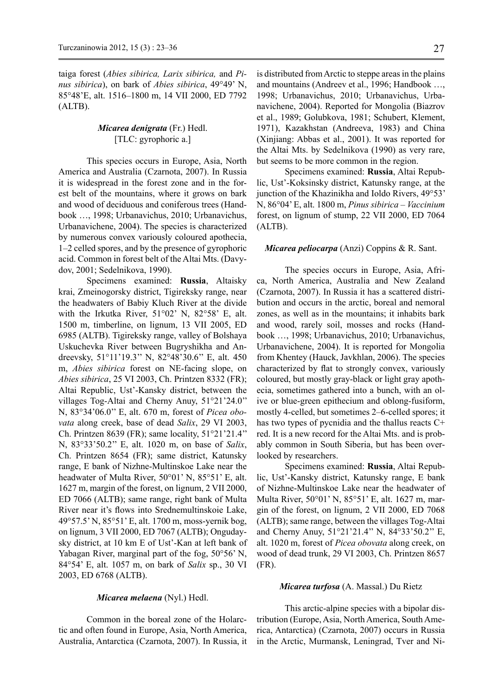taiga forest (*Abies sibirica, Larix sibirica,* and *Pinus sibirica*), on bark of *Abies sibirica*, 49°49' N, 85°48'E, alt. 1516–1800 m, 14 VII 2000, ED 7792 (ALTB).

# *Micarea denigrata* (Fr.) Hedl. [TLC: gyrophoric a.]

This species occurs in Europe, Asia, North America and Australia (Czarnota, 2007). In Russia it is widespread in the forest zone and in the forest belt of the mountains, where it grows on bark and wood of deciduous and coniferous trees (Handbook …, 1998; Urbanavichus, 2010; Urbanavichus, Urbanavichene, 2004). The species is characterized by numerous convex variously coloured apothecia, 1–2 celled spores, and by the presence of gyrophoric acid. Common in forest belt of the Altai Mts. (Davydov, 2001; Sedelnikova, 1990).

Specimens examined: **Russia**, Altaisky krai, Zmeinogorsky district, Tigireksky range, near the headwaters of Babiy Kluch River at the divide with the Irkutka River, 51°02' N, 82°58' E, alt. 1500 m, timberline, on lignum, 13 VII 2005, ED 6985 (ALTB). Tigireksky range, valley of Bolshaya Uskuchevka River between Bugryshikha and Andreevsky, 51°11'19.3'' N, 82°48'30.6'' E, alt. 450 m, *Abies sibirica* forest on NE-facing slope, on *Abies sibirica*, 25 VI 2003, Ch. Printzen 8332 (FR); Altai Republic, Ust'-Kansky district, between the villages Tog-Altai and Cherny Anuy, 51°21'24.0'' N, 83°34'06.0'' E, alt. 670 m, forest of *Picea obovata* along creek, base of dead *Salix*, 29 VI 2003, Ch. Printzen 8639 (FR); same locality, 51°21'21.4'' N, 83°33'50.2'' E, alt. 1020 m, on base of *Salix*, Ch. Printzen 8654 (FR); same district, Katunsky range, E bank of Nizhne-Multinskoe Lake near the headwater of Multa River, 50°01' N, 85°51' E, alt. 1627 m, margin of the forest, on lignum, 2 VII 2000, ED 7066 (ALTB); same range, right bank of Multa River near it's flows into Srednemultinskoie Lake, 49°57.5' N, 85°51' E, alt. 1700 m, moss-yernik bog, on lignum, 3 VII 2000, ED 7067 (ALTB); Ongudaysky district, at 10 km E of Ust'-Kan at left bank of Yabagan River, marginal part of the fog, 50°56' N, 84°54' E, alt. 1057 m, on bark of *Salix* sp., 30 VI 2003, ED 6768 (ALTB).

*Micarea melaena* (Nyl.) Hedl.

Common in the boreal zone of the Holarctic and often found in Europe, Asia, North America, Australia, Antarctica (Czarnota, 2007). In Russia, it

is distributed from Arctic to steppe areas in the plains and mountains (Andreev et al., 1996; Handbook …, 1998; Urbanavichus, 2010; Urbanavichus, Urbanavichene, 2004). Reported for Mongolia (Biazrov et al., 1989; Golubkova, 1981; Schubert, Klement, 1971), Kazakhstan (Andreeva, 1983) and China (Xinjiang: Abbas et al., 2001). It was reported for the Altai Mts. by Sedelnikova (1990) as very rare, but seems to be more common in the region.

Specimens examined: **Russia**, Altai Republic, Ust'-Koksinsky district, Katunsky range, at the junction of the Khazinikha and Ioldo Rivers, 49°53' N, 86°04' E, alt. 1800 m, *Pinus sibirica – Vaccinium* forest, on lignum of stump, 22 VII 2000, ED 7064 (ALTB).

## *Micarea peliocarpa* (Anzi) Coppins & R. Sant.

The species occurs in Europe, Asia, Africa, North America, Australia and New Zealand (Czarnota, 2007). In Russia it has a scattered distribution and occurs in the arctic, boreal and nemoral zones, as well as in the mountains; it inhabits bark and wood, rarely soil, mosses and rocks (Handbook …, 1998; Urbanavichus, 2010; Urbanavichus, Urbanavichene, 2004). It is reported for Mongolia from Khentey (Hauck, Javkhlan, 2006). The species characterized by flat to strongly convex, variously coloured, but mostly gray-black or light gray apothecia, sometimes gathered into a bunch, with an olive or blue-green epithecium and oblong-fusiform, mostly 4-celled, but sometimes 2–6-celled spores; it has two types of pycnidia and the thallus reacts C+ red. It is a new record for the Altai Mts. and is probably common in South Siberia, but has been overlooked by researchers.

Specimens examined: **Russia**, Altai Republic, Ust'-Kansky district, Katunsky range, E bank of Nizhne-Multinskoe Lake near the headwater of Multa River, 50°01' N, 85°51' E, alt. 1627 m, margin of the forest, on lignum, 2 VII 2000, ED 7068 (ALTB); same range, between the villages Tog-Altai and Cherny Anuy, 51°21'21.4'' N, 84°33'50.2'' E, alt. 1020 m, forest of *Picea obovata* along creek, on wood of dead trunk, 29 VI 2003, Ch. Printzen 8657 (FR).

#### *Micarea turfosa* (A. Massal.) Du Rietz

This arctic-alpine species with a bipolar distribution (Europe, Asia, North America, South America, Antarctica) (Czarnota, 2007) occurs in Russia in the Arctic, Murmansk, Leningrad, Tver and Ni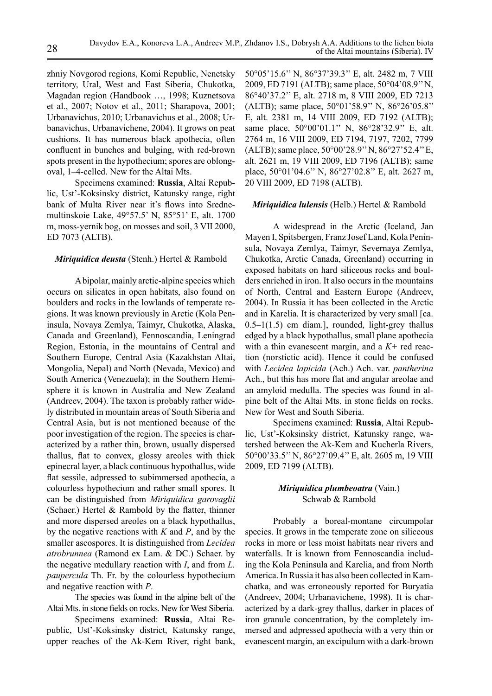zhniy Novgorod regions, Komi Republic, Nenetsky territory, Ural, West and East Siberia, Chukotka, Magadan region (Handbook …, 1998; Kuznetsova et al., 2007; Notov et al., 2011; Sharapova, 2001; Urbanavichus, 2010; Urbanavichus et al., 2008; Urbanavichus, Urbanavichene, 2004). It grows on peat cushions. It has numerous black apothecia, often confluent in bunches and bulging, with red-brown spots present in the hypothecium; spores are oblongoval, 1–4-celled. New for the Altai Mts.

Specimens examined: **Russia**, Altai Republic, Ust'-Koksinsky district, Katunsky range, right bank of Multa River near it's flows into Srednemultinskoie Lake, 49°57.5' N, 85°51' E, alt. 1700 m, moss-yernik bog, on mosses and soil, 3 VII 2000, ED 7073 (ALTB).

## *Miriquidica deusta* (Stenh.) Hertel & Rambold

A bipolar, mainly arctic-alpine species which occurs on silicates in open habitats, also found on boulders and rocks in the lowlands of temperate regions. It was known previously in Arctic (Kola Peninsula, Novaya Zemlya, Taimyr, Chukotka, Alaska, Canada and Greenland), Fennoscandia, Leningrad Region, Estonia, in the mountains of Central and Southern Europe, Central Asia (Kazakhstan Altai, Mongolia, Nepal) and North (Nevada, Mexico) and South America (Venezuela); in the Southern Hemisphere it is known in Australia and New Zealand (Andreev, 2004). The taxon is probably rather widely distributed in mountain areas of South Siberia and Central Asia, but is not mentioned because of the poor investigation of the region. The species is characterized by a rather thin, brown, usually dispersed thallus, flat to convex, glossy areoles with thick epinecral layer, a black continuous hypothallus, wide flat sessile, adpressed to subimmersed apothecia, a colourless hypothecium and rather small spores. It can be distinguished from *Miriquidica garovaglii* (Schaer.) Hertel & Rambold by the flatter, thinner and more dispersed areoles on a black hypothallus, by the negative reactions with *K* and *P*, and by the smaller ascospores. It is distinguished from *Lecidea atrobrunnea* (Ramond ex Lam. & DC.) Schaer. by the negative medullary reaction with *I*, and from *L. paupercula* Th. Fr. by the colourless hypothecium and negative reaction with *Р*.

The species was found in the alpine belt of the Altai Mts. in stone fields on rocks. New for West Siberia.

Specimens examined: **Russia**, Altai Republic, Ust'-Koksinsky district, Katunsky range, upper reaches of the Ak-Kem River, right bank,

50°05'15.6'' N, 86°37'39.3'' E, alt. 2482 m, 7 VIII 2009, ED 7191 (ALTB); same place, 50°04'08.9'' N, 86°40'37.2'' E, alt. 2718 m, 8 VIII 2009, ED 7213 (ALTB); same place, 50°01'58.9'' N, 86°26'05.8'' E, alt. 2381 m, 14 VIII 2009, ED 7192 (ALTB); same place, 50°00'01.1" N, 86°28'32.9" E, alt. 2764 m, 16 VIII 2009, ED 7194, 7197, 7202, 7799 (ALTB); same place, 50°00'28.9'' N, 86°27'52.4'' E, alt. 2621 m, 19 VIII 2009, ED 7196 (ALTB); same place, 50°01'04.6'' N, 86°27'02.8'' E, alt. 2627 m, 20 VIII 2009, ED 7198 (ALTB).

## *Miriquidica lulensis* (Helb.) Hertel & Rambold

A widespread in the Arctic (Iceland, Jan Mayen I, Spitsbergen, Franz Josef Land, Kola Peninsula, Novaya Zemlya, Taimyr, Severnaya Zemlya, Chukotka, Arctic Canada, Greenland) occurring in exposed habitats on hard siliceous rocks and boulders enriched in iron. It also occurs in the mountains of North, Central and Eastern Europe (Andreev, 2004). In Russia it has been collected in the Arctic and in Karelia. It is characterized by very small [ca.  $0.5-1(1.5)$  cm diam.], rounded, light-grey thallus edged by a black hypothallus, small plane apothecia with a thin evanescent margin, and a *K+* red reaction (norstictic acid). Hence it could be confused with *Lecidea lapicida* (Ach.) Ach. var. *pantherina*  Ach., but this has more flat and angular areolae and an amyloid medulla. The species was found in alpine belt of the Altai Mts. in stone fields on rocks. New for West and South Siberia.

Specimens examined: **Russia**, Altai Republic, Ust'-Koksinsky district, Katunsky range, watershed between the Ak-Kem and Kucherla Rivers, 50°00'33.5'' N, 86°27'09.4'' E, alt. 2605 m, 19 VIII 2009, ED 7199 (ALTB).

# *Miriquidica plumbeoatra* (Vain.) Schwab & Rambold

Probably a boreal-montane circumpolar species. It grows in the temperate zone on siliceous rocks in more or less moist habitats near rivers and waterfalls. It is known from Fennoscandia including the Kola Peninsula and Karelia, and from North America. In Russia it has also been collected in Kamchatka, and was erroneously reported for Buryatia (Andreev, 2004; Urbanavichene, 1998). It is characterized by a dark-grey thallus, darker in places of iron granule concentration, by the completely immersed and adpressed apothecia with a very thin or evanescent margin, an excipulum with a dark-brown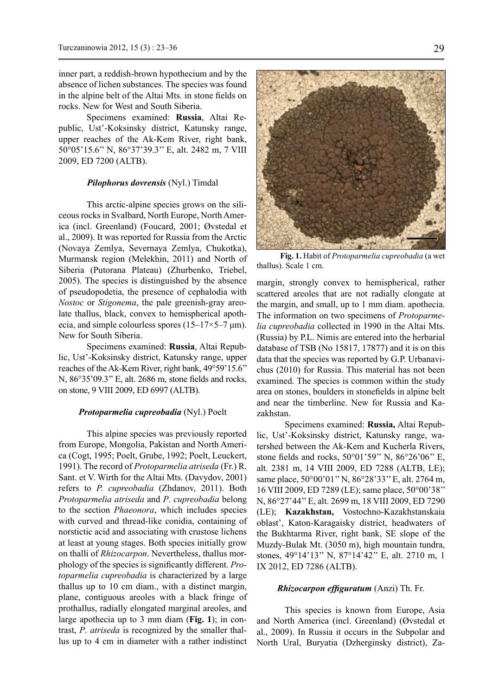inner part, a reddish-brown hypothecium and by the absence of lichen substances. The species was found in the alpine belt of the Altai Mts. in stone fields on rocks. New for West and South Siberia.

Specimens examined: **Russia**, Altai Republic, Ust'-Koksinsky district, Katunsky range, upper reaches of the Ak-Kem River, right bank, 50°05'15.6'' N, 86°37'39.3'' E, alt. 2482 m, 7 VIII 2009, ED 7200 (ALTB).

### *Pilophorus dovrensis* (Nyl.) Timdal

This arctic-alpine species grows on the siliceous rocks in Svalbard, North Europe, North America (incl. Greenland) (Foucard, 2001; Øvstedal et al., 2009). It was reported for Russia from the Arctic (Novaya Zemlya, Severnaya Zemlya, Chukotka), Murmansk region (Melekhin, 2011) and North of Siberia (Putorana Plateau) (Zhurbenko, Triebel, 2005). The species is distinguished by the absence of pseudopodetia, the presence of cephalodia with *Nostoc* or *Stigonema*, the pale greenish-gray areolate thallus, black, convex to hemispherical apothecia, and simple colourless spores  $(15-17\times5-7 \text{ }\mu\text{m})$ . New for South Siberia.

Specimens examined: **Russia**, Altai Republic, Ust'-Koksinsky district, Katunsky range, upper reaches of the Ak-Kem River, right bank, 49°59'15.6'' N, 86°35'09.3'' E, alt. 2686 m, stone fields and rocks, on stone, 9 VIII 2009, ED 6997 (ALTB).

### *Protoparmelia cupreobadia* (Nyl.) Poelt

This alpine species was previously reported from Europe, Mongolia, Pakistan and North America (Cogt, 1995; Poelt, Grube, 1992; Poelt, Leuckert, 1991). The record of *Protoparmelia atriseda* (Fr.) R. Sant. et V. Wirth for the Altai Mts. (Davydov, 2001) refers to *P. cupreobadia* (Zhdanov, 2011). Both *Protoparmelia atriseda* and *P*. *cupreobadia* belong to the section *Phaeonora*, which includes species with curved and thread-like conidia, containing of norstictic acid and associating with crustose lichens at least at young stages. Both species initially grow on thalli of *Rhizocarpon*. Nevertheless, thallus morphology of the species is significantly different. *Protoparmelia cupreobadia* is characterized by a large thallus up to 10 cm diam., with a distinct margin, plane, contiguous areoles with a black fringe of prothallus, radially elongated marginal areoles, and large apothecia up to 3 mm diam (**Fig. 1**); in contrast, *P*. *atriseda* is recognized by the smaller thallus up to 4 cm in diameter with a rather indistinct



**Fig. 1.** Habit of *Protoparmelia cupreobadia* (a wet thallus). Scale 1 cm.

margin, strongly convex to hemispherical, rather scattered areoles that are not radially elongate at the margin, and small, up to 1 mm diam. apothecia. The information on two specimens of *Protoparmelia cupreobadia* collected in 1990 in the Altai Mts. (Russia) by P.L. Nimis are entered into the herbarial database of TSB (No 15817, 17877) and it is on this data that the species was reported by G.P. Urbanavichus (2010) for Russia. This material has not been examined. The species is common within the study area on stones, boulders in stonefields in alpine belt and near the timberline. New for Russia and Kazakhstan.

Specimens examined: **Russia,** Altai Republic, Ust'-Koksinsky district, Katunsky range, watershed between the Ak-Kem and Kucherla Rivers, stone fields and rocks, 50°01'59'' N, 86°26'06'' E, alt. 2381 m, 14 VIII 2009, ED 7288 (ALTB, LE); same place, 50°00'01" N, 86°28'33" E, alt. 2764 m, 16 VIII 2009, ED 7289 (LE); same place, 50°00'38'' N, 86°27'44'' E, alt. 2699 m, 18 VIII 2009, ED 7290 (LE); **Kazakhstan,** Vostochno-Kazakhstanskaia oblast', Katon-Karagaisky district, headwaters of the Bukhtarma River, right bank, SE slope of the Muzdy-Bulak Mt. (3050 m), high mountain tundra, stones, 49°14'13'' N, 87°14'42'' E, alt. 2710 m, 1 IX 2012, ED 7286 (ALTB).

#### *Rhizocarpon effiguratum* (Anzi) Th. Fr.

This species is known from Europe, Asia and North America (incl. Greenland) (Øvstedal et al., 2009). In Russia it occurs in the Subpolar and North Ural, Buryatia (Dzherginsky district), Za-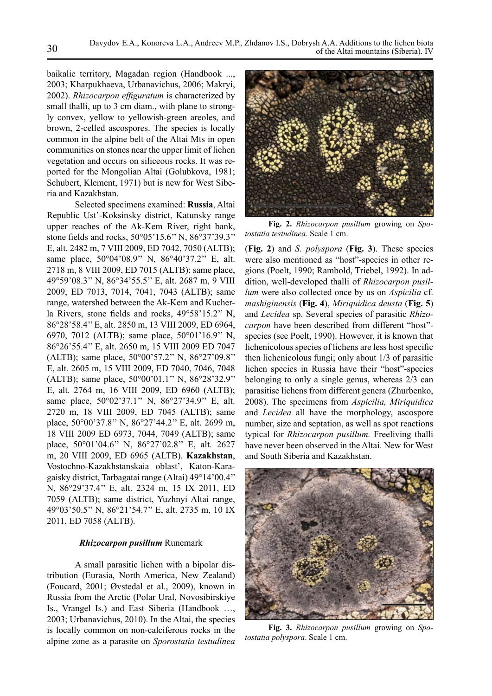baikalie territory, Magadan region (Handbook ..., 2003; Kharpukhaeva, Urbanavichus, 2006; Makryi, 2002). *Rhizocarpon effiguratum* is characterized by small thalli, up to 3 cm diam., with plane to strongly convex, yellow to yellowish-green areoles, and brown, 2-celled ascospores. The species is locally common in the alpine belt of the Altai Mts in open communities on stones near the upper limit of lichen vegetation and occurs on siliceous rocks. It was reported for the Mongolian Altai (Golubkova, 1981; Schubert, Klement, 1971) but is new for West Siberia and Kazakhstan.

Selected specimens examined: **Russia**, Altai Republic Ust'-Koksinsky district, Katunsky range upper reaches of the Ak-Kem River, right bank, stone fields and rocks, 50°05'15.6'' N, 86°37'39.3'' E, alt. 2482 m, 7 VIII 2009, ED 7042, 7050 (ALTB); same place, 50°04'08.9" N, 86°40'37.2" E, alt. 2718 m, 8 VIII 2009, ED 7015 (ALTB); same place, 49°59'08.3'' N, 86°34'55.5'' E, alt. 2687 m, 9 VIII 2009, ED 7013, 7014, 7041, 7043 (ALTB); same range, watershed between the Ak-Kem and Kucherla Rivers, stone fields and rocks, 49°58'15.2'' N, 86°28'58.4'' E, alt. 2850 m, 13 VIII 2009, ED 6964, 6970, 7012 (ALTB); same place, 50°01'16.9'' N, 86°26'55.4'' E, alt. 2650 m, 15 VIII 2009 ED 7047 (ALTB); same place, 50°00'57.2'' N, 86°27'09.8'' E, alt. 2605 m, 15 VIII 2009, ED 7040, 7046, 7048 (ALTB); same place, 50°00'01.1'' N, 86°28'32.9'' E, alt. 2764 m, 16 VIII 2009, ED 6960 (ALTB); same place, 50°02'37.1" N, 86°27'34.9" E, alt. 2720 m, 18 VIII 2009, ED 7045 (ALTB); same place, 50°00'37.8'' N, 86°27'44.2'' E, alt. 2699 m, 18 VIII 2009 ED 6973, 7044, 7049 (ALTB); same place, 50°01'04.6'' N, 86°27'02.8'' E, alt. 2627 m, 20 VIII 2009, ED 6965 (ALTB). **Kazakhstan**, Vostochno-Kazakhstanskaia oblast', Katon-Karagaisky district, Tarbagatai range (Altai) 49°14'00.4'' N, 86°29'37.4'' E, alt. 2324 m, 15 IX 2011, ED 7059 (ALTB); same district, Yuzhnyi Altai range, 49°03'50.5'' N, 86°21'54.7'' E, alt. 2735 m, 10 IX 2011, ED 7058 (ALTB).

## *Rhizocarpon pusillum* Runemark

A small parasitic lichen with a bipolar distribution (Eurasia, North America, New Zealand) (Foucard, 2001; Øvstedal et al., 2009), known in Russia from the Arctic (Polar Ural, Novosibirskiye Is., Vrangel Is.) and East Siberia (Handbook …, 2003; Urbanavichus, 2010). In the Altai, the species is locally common on non-calciferous rocks in the alpine zone as a parasite on *Sporostatia testudinea*



**Fig. 2.** *Rhizocarpon pusillum* growing on *Spotostatia testudinea*. Scale 1 cm.

(**Fig. 2**) and *S. polyspora* (**Fig. 3**). These species were also mentioned as "host"-species in other regions (Poelt, 1990; Rambold, Triebel, 1992). In addition, well-developed thalli of *Rhizocarpon pusillum* were also collected once by us on *Aspicilia* cf. *mashiginensis* (**Fig. 4**), *Miriquidica deusta* (**Fig. 5**) and *Lecidea* sp. Several species of parasitic *Rhizocarpon* have been described from different "host" species (see Poelt, 1990). However, it is known that lichenicolous species of lichens are less host specific then lichenicolous fungi; only about 1/3 of parasitic lichen species in Russia have their "host"-species belonging to only a single genus, whereas 2/3 can parasitise lichens from different genera (Zhurbenko, 2008). The specimens from *Aspicilia, Miriquidica*  and *Lecidea* all have the morphology, ascospore number, size and septation, as well as spot reactions typical for *Rhizocarpon pusillum.* Freeliving thalli have never been observed in the Altai. New for West and South Siberia and Kazakhstan.



**Fig. 3.** *Rhizocarpon pusillum* growing on *Spotostatia polyspora*. Scale 1 cm.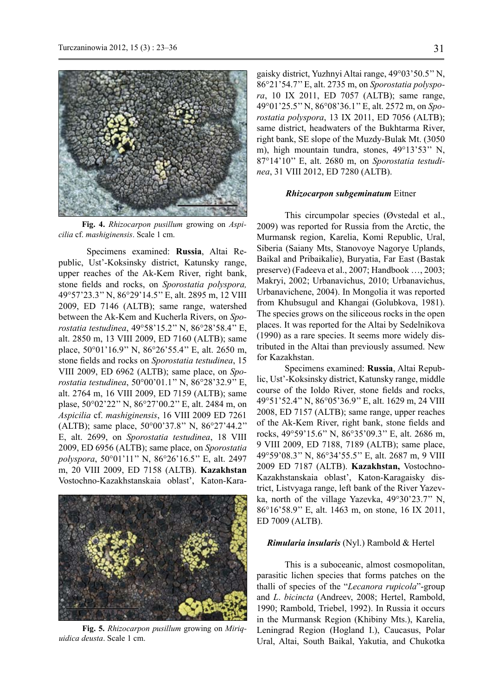

**Fig. 4.** *Rhizocarpon pusillum* growing on *Aspicilia* cf. *mashiginensis*. Scale 1 cm.

Specimens examined: **Russia**, Altai Republic, Ust'-Koksinsky district, Katunsky range, upper reaches of the Ak-Kem River, right bank, stone fields and rocks, on *Sporostatia polyspora,* 49°57'23.3'' N, 86°29'14.5'' E, alt. 2895 m, 12 VIII 2009, ED 7146 (ALTB); same range, watershed between the Ak-Kem and Kucherla Rivers, on *Sporostatia testudinea*, 49°58'15.2'' N, 86°28'58.4'' E, alt. 2850 m, 13 VIII 2009, ED 7160 (ALTB); same place, 50°01'16.9'' N, 86°26'55.4'' E, alt. 2650 m, stone fields and rocks on *Sporostatia testudinea*, 15 VIII 2009, ED 6962 (ALTB); same place, on *Sporostatia testudinea*, 50°00'01.1'' N, 86°28'32.9'' E, alt. 2764 m, 16 VIII 2009, ED 7159 (ALTB); same plase, 50°02'22'' N, 86°27'00.2'' E, alt. 2484 m, on *Aspicilia* cf. *mashiginensis*, 16 VIII 2009 ED 7261 (ALTB); same place, 50°00'37.8'' N, 86°27'44.2'' E, alt. 2699, on *Sporostatia testudinea*, 18 VIII 2009, ED 6956 (ALTB); same place, on *Sporostatia polyspora*, 50°01'11'' N, 86°26'16.5'' E, alt. 2497 m, 20 VIII 2009, ED 7158 (ALTB). **Kazakhstan** Vostochno-Kazakhstanskaia oblast', Katon-Kara-



**Fig. 5.** *Rhizocarpon pusillum* growing on *Miriquidica deusta*. Scale 1 cm.

gaisky district, Yuzhnyi Altai range, 49°03'50.5'' N, 86°21'54.7'' E, alt. 2735 m, on *Sporostatia polyspora*, 10 IX 2011, ED 7057 (ALTB); same range, 49°01'25.5'' N, 86°08'36.1'' E, alt. 2572 m, on *Sporostatia polyspora*, 13 IX 2011, ED 7056 (ALTB); same district, headwaters of the Bukhtarma River, right bank, SE slope of the Muzdy-Bulak Mt. (3050 m), high mountain tundra, stones, 49°13'53'' N, 87°14'10'' E, alt. 2680 m, on *Sporostatia testudinea*, 31 VIII 2012, ED 7280 (ALTB).

## *Rhizocarpon subgeminatum* Eitner

This circumpolar species (Øvstedal et al., 2009) was reported for Russia from the Arctic, the Murmansk region, Karelia, Komi Republic, Ural, Siberia (Saiany Mts, Stanovoye Nagorye Uplands, Baikal and Pribaikalie), Buryatia, Far East (Bastak preserve) (Fadeeva et al., 2007; Handbook …, 2003; Makryi, 2002; Urbanavichus, 2010; Urbanavichus, Urbanavichene, 2004). In Mongolia it was reported from Khubsugul and Khangai (Golubkova, 1981). The species grows on the siliceous rocks in the open places. It was reported for the Altai by Sedelnikova (1990) as a rare species. It seems more widely distributed in the Altai than previously assumed. New for Kazakhstan.

Specimens examined: **Russia**, Altai Republic, Ust'-Koksinsky district, Katunsky range, middle course of the Ioldo River, stone fields and rocks, 49°51'52.4'' N, 86°05'36.9'' E, alt. 1629 m, 24 VIII 2008, ED 7157 (ALTB); same range, upper reaches of the Ak-Kem River, right bank, stone fields and rocks, 49°59'15.6'' N, 86°35'09.3'' E, alt. 2686 m, 9 VIII 2009, ED 7188, 7189 (ALTB); same place, 49°59'08.3'' N, 86°34'55.5'' E, alt. 2687 m, 9 VIII 2009 ED 7187 (ALTB). **Kazakhstan,** Vostochno-Kazakhstanskaia oblast', Katon-Karagaisky district, Listvyaga range, left bank of the River Yazevka, north of the village Yazevka, 49°30'23.7'' N, 86°16'58.9'' E, alt. 1463 m, on stone, 16 IX 2011, ED 7009 (ALTB).

### *Rimularia insularis* (Nyl.) Rambold & Hertel

This is a suboceanic, almost cosmopolitan, parasitic lichen species that forms patches on the thalli of species of the "*Lecanora rupicola*"-group and *L*. *bicincta* (Andreev, 2008; Hertel, Rambold, 1990; Rambold, Triebel, 1992). In Russia it occurs in the Murmansk Region (Khibiny Mts.), Karelia, Leningrad Region (Hogland I.), Caucasus, Polar Ural, Altai, South Baikal, Yakutia, and Chukotka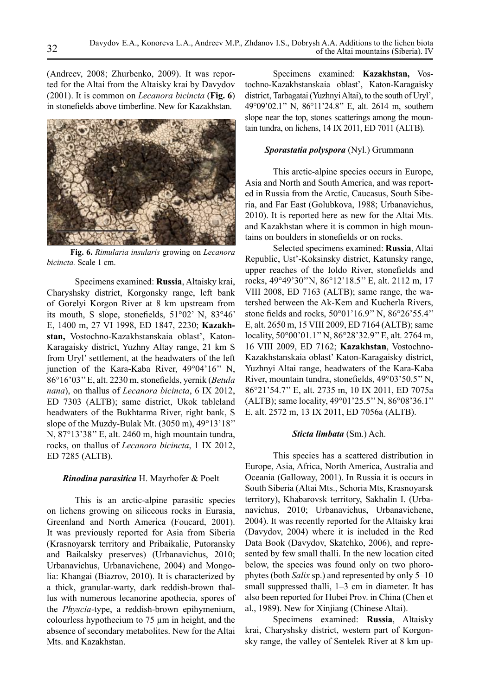(Andreev, 2008; Zhurbenko, 2009). It was reported for the Altai from the Altaisky krai by Davydov (2001). It is common on *Lecanora bicincta* (**Fig. 6**) in stonefields above timberline. New for Kazakhstan.



**Fig. 6.** *Rimularia insularis* growing on *Lecanora bicincta.* Scale 1 cm.

Specimens examined: **Russia**, Altaisky krai, Charyshsky district, Korgonsky range, left bank of Gorelyi Korgon River at 8 km upstream from its mouth, S slope, stonefields, 51°02' N, 83°46' E, 1400 m, 27 VI 1998, ED 1847, 2230; **Kazakhstan,** Vostochno-Kazakhstanskaia oblast', Katon-Karagaisky district, Yuzhny Altay range, 21 km S from Uryl' settlement, at the headwaters of the left junction of the Kara-Kaba River, 49°04'16'' N, 86°16'03'' E, alt. 2230 m, stonefields, yernik (*Betula nana*), on thallus of *Lecanora bicincta*, 6 IX 2012, ED 7303 (ALTB); same district, Ukok tableland headwaters of the Bukhtarma River, right bank, S slope of the Muzdy-Bulak Mt. (3050 m), 49°13'18'' N, 87°13'38'' E, alt. 2460 m, high mountain tundra, rocks, on thallus of *Lecanora bicincta*, 1 IX 2012, ED 7285 (ALTB).

## *Rinodina parasitica* H. Mayrhofer & Poelt

This is an arctic-alpine parasitic species on lichens growing on siliceous rocks in Eurasia, Greenland and North America (Foucard, 2001). It was previously reported for Asia from Siberia (Krasnoyarsk territory and Pribaikalie, Putoransky and Baikalsky preserves) (Urbanavichus, 2010; Urbanavichus, Urbanavichene, 2004) and Mongolia: Khangai (Biazrov, 2010). It is characterized by a thick, granular-warty, dark reddish-brown thallus with numerous lecanorine apothecia, spores of the *Physcia*-type, a reddish-brown epihymenium, colourless hypothecium to 75 µm in height, and the absence of secondary metabolites. New for the Altai Mts. and Kazakhstan.

Specimens examined: **Kazakhstan,** Vostochno-Kazakhstanskaia oblast', Katon-Karagaisky district, Tarbagatai (Yuzhnyi Altai), to the south of Uryl', 49°09'02.1'' N, 86°11'24.8'' E, alt. 2614 m, southern slope near the top, stones scatterings among the mountain tundra, on lichens, 14 IX 2011, ED 7011 (ALTB).

# *Sporastatia polyspora* (Nyl.) Grummann

This arctic-alpine species occurs in Europe, Asia and North and South America, and was reported in Russia from the Arctic, Caucasus, South Siberia, and Far East (Golubkova, 1988; Urbanavichus, 2010). It is reported here as new for the Altai Mts. and Kazakhstan where it is common in high mountains on boulders in stonefields or on rocks.

Selected specimens examined: **Russia**, Altai Republic, Ust'-Koksinsky district, Katunsky range, upper reaches of the Ioldo River, stonefields and rocks, 49°49'30''N, 86°12'18.5'' E, alt. 2112 m, 17 VIII 2008, ED 7163 (ALTB); same range, the watershed between the Ak-Kem and Kucherla Rivers, stone fields and rocks, 50°01'16.9'' N, 86°26'55.4'' E, alt. 2650 m, 15 VIII 2009, ED 7164 (ALTB); same locality, 50°00'01.1'' N, 86°28'32.9'' E, alt. 2764 m, 16 VIII 2009, ED 7162; **Kazakhstan**, Vostochno-Kazakhstanskaia oblast' Katon-Karagaisky district, Yuzhnyi Altai range, headwaters of the Kara-Kaba River, mountain tundra, stonefields, 49°03'50.5'' N, 86°21'54.7'' E, alt. 2735 m, 10 IX 2011, ED 7075a (ALTB); same locality, 49°01'25.5'' N, 86°08'36.1'' E, alt. 2572 m, 13 IX 2011, ED 7056a (ALTB).

## *Sticta limbata* (Sm.) Ach.

This species has a scattered distribution in Europe, Asia, Africa, North America, Australia and Oceania (Galloway, 2001). In Russia it is occurs in South Siberia (Altai Mts., Schoria Mts, Krasnoyarsk territory), Khabarovsk territory, Sakhalin I. (Urbanavichus, 2010; Urbanavichus, Urbanavichene, 2004). It was recently reported for the Altaisky krai (Davydov, 2004) where it is included in the Red Data Book (Davydov, Skatchko, 2006), and represented by few small thalli. In the new location cited below, the species was found only on two phorophytes (both *Salix* sp.) and represented by only 5–10 small suppressed thalli, 1–3 cm in diameter. It has also been reported for Hubei Prov. in China (Chen et al., 1989). New for Xinjiang (Chinese Altai).

Specimens examined: **Russia**, Altaisky krai, Charyshsky district, western part of Korgonsky range, the valley of Sentelek River at 8 km up-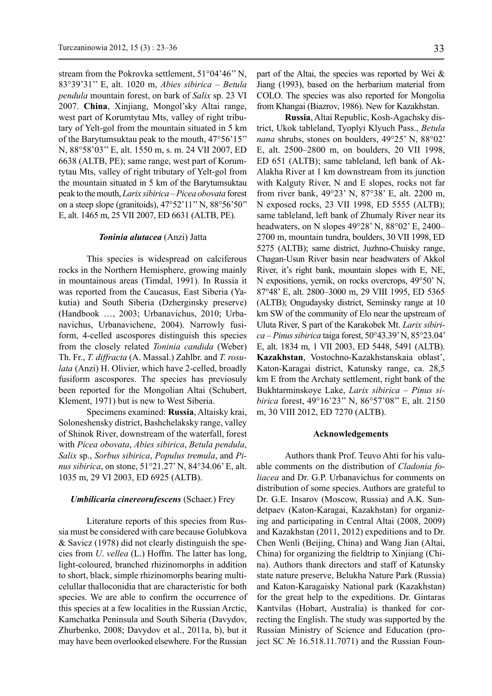stream from the Pokrovka settlement, 51°04'46'' N, 83°39'31'' E, alt. 1020 m, *Abies sibirica – Betula pendula* mountain forest, on bark of *Salix* sp. 23 VI 2007. **China**, Xinjiang, Mongol'sky Altai range, west part of Korumtytau Mts, valley of right tributary of Yelt-gol from the mountain situated in 5 km of the Barytumsuktau peak to the mouth, 47°56'15'' N, 88°58'03'' E, alt. 1550 m, s. m. 24 VII 2007, ED 6638 (ALTB, PE); same range, west part of Korumtytau Mts, valley of right tributary of Yelt-gol from the mountain situated in 5 km of the Barytumsuktau peak to the mouth, *Larix sibirica – Picea obovata* forest on a steep slope (granitoids), 47°52'11'' N, 88°56'50'' E, alt. 1465 m, 25 VII 2007, ED 6631 (ALTB, PE).

### *Toninia alutacea* (Anzi) Jatta

This species is widespread on calciferous rocks in the Northern Hemisphere, growing mainly in mountainous areas (Timdal, 1991). In Russia it was reported from the Caucasus, East Siberia (Yakutia) and South Siberia (Dzherginsky preserve) (Handbook …, 2003; Urbanavichus, 2010; Urbanavichus, Urbanavichene, 2004). Narrowly fusiform, 4-celled ascospores distinguish this species from the closely related *Toninia candida* (Weber) Th. Fr., *T. diffracta* (A. Massal.) Zahlbr. and *T. rosulata* (Anzi) H. Olivier, which have 2-celled, broadly fusiform ascospores. The species has previosuly been reported for the Mongolian Altai (Schubert, Klement, 1971) but is new to West Siberia.

Specimens examined: **Russia**, Altaisky krai, Soloneshensky district, Bashchelaksky range, valley of Shinok River, downstream of the waterfall, forest with *Picea obovata*, *Abies sibirica*, *Betula pendula*, *Salix* sp., *Sorbus sibirica*, *Populus tremula*, and *Pinus sibirica*, on stone, 51°21.27' N, 84°34.06' E, alt. 1035 m, 29 VI 2003, ED 6925 (ALTB).

### *Umbilicaria cinereorufescens* (Schaer.) Frey

Literature reports of this species from Russia must be considered with care because Golubkova & Savicz (1978) did not clearly distinguish the species from *U*. *vellea* (L.) Hoffm. The latter has long, light-coloured, branched rhizinomorphs in addition to short, black, simple rhizinomorphs bearing multicelullar thalloconidia that are characteristic for both species. We are able to confirm the occurrence of this species at a few localities in the Russian Arctic, Kamchatka Peninsula and South Siberia (Davydov, Zhurbenko, 2008; Davydov et al., 2011a, b), but it may have been overlooked elsewhere. For the Russian part of the Altai, the species was reported by Wei  $\&$ Jiang (1993), based on the herbarium material from COLO. The species was also reported for Mongolia from Khangai (Biazrov, 1986). New for Kazakhstan.

**Russia**, Altai Republic, Kosh-Agachsky district, Ukok tableland, Tyoplyi Klyuch Pass., *Betula nana* shrubs, stones on boulders, 49°25' N, 88°02' E, alt. 2500–2800 m, on boulders, 20 VII 1998, ED 651 (ALTB); same tableland, left bank of Ak-Alakha River at 1 km downstream from its junction with Kalguty River, N and E slopes, rocks not far from river bank, 49°23' N, 87°38' E, alt. 2200 m, N exposed rocks, 23 VII 1998, ED 5555 (ALTB); same tableland, left bank of Zhumaly River near its headwaters, on N slopes 49°28' N, 88°02' E, 2400– 2700 m, mountain tundra, boulders, 30 VII 1998, ED 5275 (ALTB); same district, Juzhno-Chuisky range, Chagan-Usun River basin near headwaters of Akkol River, it's right bank, mountain slopes with E, NE, N expositions, yernik, on rocks overcrops, 49°50' N, 87°48' E, alt. 2800–3000 m, 29 VIII 1995, ED 5365 (ALTB); Ongudaysky district, Seminsky range at 10 km SW of the community of Elo near the upstream of Uluta River, S part of the Karakobek Mt. *Larix sibirica – Pinus sibirica* taiga forest, 50°43.39' N, 85°23.04' E, alt. 1834 m, 1 VII 2003, ED 5448, 5491 (ALTB). **Kazakhstan**, Vostochno-Kazakhstanskaia oblast', Katon-Karagai district, Katunsky range, ca. 28,5 km Е from the Archaty settlement, right bank of the Bukhtarminskoye Lake, *Larix sibirica* – *Pinus sibirica* forest, 49°16'23'' N, 86°57'08'' E, alt. 2150 m, 30 VIII 2012, ED 7270 (ALTB).

#### **Acknowledgements**

Authors thank Prof. Teuvo Ahti for his valuable comments on the distribution of *Cladonia foliacea* and Dr. G.P. Urbanavichus for comments on distribution of some species. Authors are grateful to Dr. G.E. Insarov (Moscow, Russia) and A.K. Sundetpaev (Katon-Karagai, Kazakhstan) for organizing and participating in Central Altai (2008, 2009) and Kazakhstan (2011, 2012) expeditions and to Dr. Chen Wenli (Beijing, China) and Wang Jian (Altai, China) for organizing the fieldtrip to Xinjiang (China). Authors thank directors and staff of Katunsky state nature preserve, Belukha Nature Park (Russia) and Katon-Karagaisky National park (Kazakhstan) for the great help to the expeditions. Dr. Gintaras Kantvilas (Hobart, Australia) is thanked for correcting the English. The study was supported by the Russian Ministry of Science and Education (project SC № 16.518.11.7071) and the Russian Foun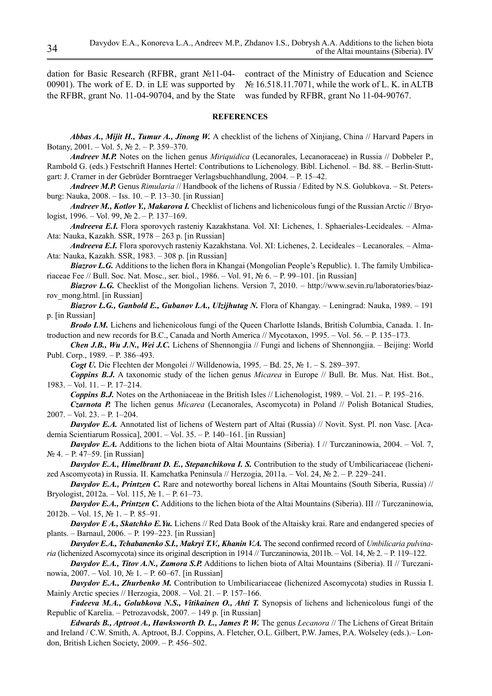dation for Basic Research (RFBR, grant №11-04- 00901). The work of E. D. in LE was supported by the RFBR, grant No. 11-04-90704, and by the State was funded by RFBR, grant No 11-04-90767.

contract of the Ministry of Education and Science № 16.518.11.7071, while the work of L. K. in ALTB

### **References**

*Abbas A., Mijit H., Tumur A., Jinong W.* A checklist of the lichens of Xinjiang, China // Harvard Papers in botany, 2001. – Vol. 5, № 2. – P. 359–370.

*Andreev M.P.* Notes on the lichen genus *Miriquidica* (Lecanorales, Lecanoraceae) in Russia // Dobbeler P., Rambold G. (eds.) Festschrift Hannes Hertel: Contributions to Lichenology. Bibl. Lichenol. – Bd. 88. – Berlin-Stuttgart: J. Cramer in der Gebrüder Borntraeger Verlagsbuchhandlung, 2004. – P. 15–42.

*Andreev M.P.* Genus *Rimularia* // Handbook of the lichens of Russia / Edited by N.S. Golubkova. – St. Petersburg: Nauka, 2008. – Iss. 10. – P. 13–30. [in Russian]

*Andreev M., Kotlov Y., Makarova I.* Checklist of lichens and lichenicolous fungi of the Russian Arctic // Bryologist, 1996. – Vol. 99, № 2. – P. 137–169.

*Andreeva E.I.* Flora sporovych rasteniy Kazakhstana. Vol. XI: Lichenes, 1. Sphaeriales-Lecideales. – Alma-Ata: Nauka, Kazakh. SSR, 1978 – 263 p. [in Russian]

*Andreeva E.I.* Flora sporovych rasteniy Kazakhstana. Vol. XI: Lichenes, 2. Lecideales – Lecanorales. – Alma-Ata: Nauka, Kazakh. SSR, 1983. – 308 p. [in Russian]

*Biazrov L.G.* Additions to the lichen flora in Khangai (Mongolian People's Republic). 1. The family Umbilicariaceae Fee // Bull. Soc. Nat. Mosc., ser. biol., 1986. – Vol. 91, № 6. – P. 99–101. [in Russian]

*Biazrov L.G.* Checklist of the Mongolian lichens. Version 7, 2010. – http://www.sevin.ru/laboratories/biazrov\_mong.html. [in Russian]

*Biazrov L.G., Ganbold E., Gubanov I.A., Ulzijhutag N. Flora of Khangay. – Leningrad: Nauka, 1989. – 191* p. [in Russian]

*Brodo I.M.* Lichens and lichenicolous fungi of the Queen Charlotte Islands, British Columbia, Canada. 1. Introduction and new records for B.C., Canada and North America // Mycotaxon, 1995. – Vol. 56. – P. 135–173.

*Chen J.B., Wu J.N., Wei J.C.* Lichens of Shennongjia // Fungi and lichens of Shennongjia. – Beijing: World Publ. Corp., 1989. – P. 386–493.

*Cogt U.* Die Flechten der Mongolei // Willdenowia, 1995. – Bd. 25, № 1. – S. 289–397.

*Coppins B.J.* A taxonomic study of the lichen genus *Micarea* in Europe // Bull. Br. Mus. Nat. Hist. Bot., 1983. – Vol. 11. – P. 17–214.

*Coppins B.J.* Notes on the Arthoniaceae in the British Isles // Lichenologist, 1989. – Vol. 21. – P. 195–216.

*Czarnota P.* The lichen genus *Micarea* (Lecanorales, Ascomycota) in Poland // Polish Botanical Studies, 2007. – Vol. 23. – P. 1–204.

*Davydov E.A.* Annotated list of lichens of Western part of Altai (Russia) // Novit. Syst. Pl. non Vasc. [Academia Scientiarum Rossica], 2001. – Vol. 35. – P. 140–161. [in Russian]

*Davydov E.A.* Additions to the lichen biota of Altai Mountains (Siberia). I // Turczaninowia, 2004. – Vol. 7, № 4. – P. 47–59. [in Russian]

*Davydov E.A., Himelbrant D. E., Stepanchikova I. S.* Contribution to the study of Umbilicariaceae (lichenized Ascomycota) in Russia. II. Kamchatka Peninsula // Herzogia, 2011a. – Vol. 24, № 2. – P. 229–241.

*Davydov E.A., Printzen C.* Rare and noteworthy boreal lichens in Altai Mountains (South Siberia, Russia) // Bryologist, 2012a. – Vol. 115, № 1. – P. 61–73.

*Davydov E.A., Printzen C.* Additions to the lichen biota of the Altai Mountains (Siberia). III // Turczaninowia,  $2012b. - Vol. 15, N<sub>2</sub> 1. - P. 85-91.$ 

*Davydov E A., Skatchko E.Yu.* Lichens // Red Data Book of the Altaisky krai. Rare and endangered species of plants. – Barnaul, 2006. – P. 199–223. [in Russian]

Davydov E.A., Tchabanenko S.I., Makryi T.V., Khanin V.A. The second confirmed record of *Umbilicaria pulvinaria* (lichenized Ascomycota) since its original description in 1914 // Turczaninowia, 2011b. – Vol. 14, № 2. – P. 119–122.

*Davydov E.A., Titov A.N., Zamora S.P.* Additions to lichen biota of Altai Mountains (Siberia). II // Turczaninowia, 2007. – Vol. 10, № 1. – P. 60–67. [in Russian]

*Davydov E.A., Zhurbenko M.* Contribution to Umbilicariaceae (lichenized Ascomycota) studies in Russia I. Mainly Arctic species // Herzogia, 2008. – Vol. 21. – P. 157–166.

*Fadeeva M.A., Golubkova N.S., Vitikainen O., Ahti T.* **Synopsis of lichens and lichenicolous fungi of the** Republic of Karelia. – Petrozavodsk, 2007. – 149 p. [in Russian]

*Edwards B., Aptroot A., Hawksworth D. L., James P. W.* The genus *Lecanora* // The Lichens of Great Britain and Ireland / C.W. Smith, A. Aptroot, B.J. Coppins, A. Fletcher, O.L. Gilbert, P.W. James, P.A. Wolseley (eds.).– London, British Lichen Society, 2009. – P. 456–502.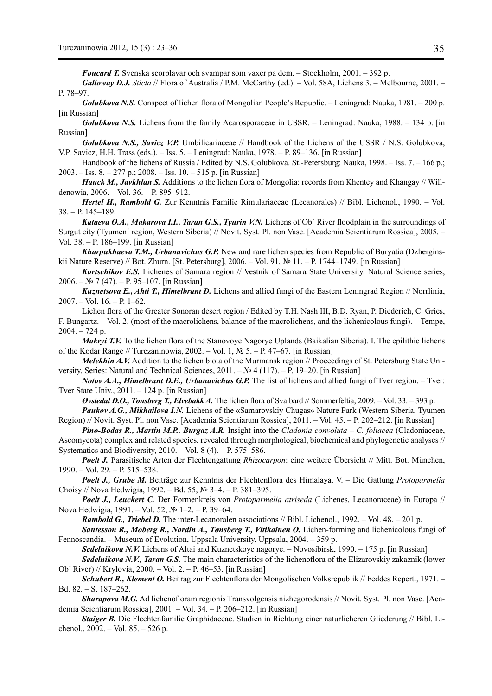*Foucard T.* Svenska scorplavar och svampar som vаxer pa dem. – Stockholm, 2001. – 392 p.

*Galloway D.J. Sticta* // Flora of Australia / P.M. McCarthy (ed.). – Vol. 58A, Lichens 3. – Melbourne, 2001. – P. 78–97.

*Golubkova N.S.* Conspect of lichen flora of Mongolian People's Republic. – Leningrad: Nauka, 1981. – 200 p. [in Russian]

*Golubkova N.S.* Lichens from the family Acarosporaceae in USSR. – Leningrad: Nauka, 1988. – 134 p. [in Russian]

*Golubkova N.S., Savicz V.P.* Umbilicariaceae // Handbook of the Lichens of the USSR / N.S. Golubkova, V.P. Savicz, H.H. Trass (eds.). – Iss. 5. – Leningrad: Nauka, 1978. – P. 89–136. [in Russian]

Handbook of the lichens of Russia / Edited by N.S. Golubkova. St.-Petersburg: Nauka, 1998. – Iss. 7. – 166 p.; 2003. – Iss. 8. – 277 p.; 2008. – Iss. 10. – 515 p. [in Russian]

*Hauck M., Javkhlan S.* Additions to the lichen flora of Mongolia: records from Khentey and Khangay // Willdenowia, 2006. – Vol. 36. – P. 895–912.

*Hertel H., Rambold G.* Zur Kenntnis Familie Rimulariaceae (Lecanorales) // Bibl. Lichenol., 1990. – Vol. 38. – P. 145–189.

*Kataeva O.A., Makarova I.I., Taran G.S., Tyurin V.N.* Lichens of Ob' River floodplain in the surroundings of Surgut city (Tyumen΄ region, Western Siberia) // Novit. Syst. Pl. non Vasc. [Academia Scientiarum Rossica], 2005. – Vol. 38. – P. 186–199. [in Russian]

*Kharpukhaeva Т.M., Urbanavichus G.P.* New and rare lichen species from Republic of Buryatia (Dzherginskii Nature Reserve) // Bot. Zhurn. [St. Petersburg], 2006. – Vol. 91, № 11. – P. 1744–1749. [in Russian]

*Kortschikov E.S.* Lichenes of Samara region // Vestnik of Samara State University. Natural Science series, 2006. – № 7 (47). – P. 95–107. [in Russian]

*Kuznetsova E., Ahti T., Himelbrant D.* Lichens and allied fungi of the Eastern Leningrad Region // Norrlinia, 2007. – Vol. 16. – P. 1–62.

Lichen flora of the Greater Sonoran desert region / Edited by T.H. Nash III, B.D. Ryan, P. Diederich, C. Gries, F. Bungartz. – Vol. 2. (most of the macrolichens, balance of the macrolichens, and the lichenicolous fungi). – Tempe,  $2004. - 724$  p.

*Makryi T.V.* To the lichen flora of the Stanovoye Nagorye Uplands (Baikalian Siberia). I. The epilithic lichens of the Kodar Range // Turczaninowia, 2002. – Vol. 1, № 5. – P. 47–67. [in Russian]

*Melekhin A.V.* Addition to the lichen biota of the Murmansk region // Proceedings of St. Petersburg State University. Series: Natural and Technical Sciences, 2011. – № 4 (117). – P. 19–20. [in Russian]

*Notov A.A., Himelbrant D.E., Urbanavichus G.P.* The list of lichens and allied fungi of Tver region. – Tver: Tver State Univ., 2011. – 124 p. [in Russian]

*Øvstedal D.O., Tønsberg T., Elvebakk A.* The lichen flora of Svalbard // Sommerfeltia, 2009. – Vol. 33. – 393 p.

*Paukov A.G., Mikhailova I.N.* Lichens of the «Samarovskiy Chugas» Nature Park (Western Siberia, Tyumen Region) // Novit. Syst. Pl. non Vasc. [Academia Scientiarum Rossica], 2011. – Vol. 45. – P. 202–212. [in Russian]

*Pino-Bodas R., Martín M.P., Burgaz A.R.* Insight into the *Cladonia convoluta* – *C. foliacea* (Cladoniaceae, Ascomycota) complex and related species, revealed through morphological, biochemical and phylogenetic analyses // Systematics and Biodiversity, 2010. – Vol. 8 (4). – P. 575–586.

*Poelt J.* Parasitische Arten der Flechtengattung *Rhizocarpon*: eine weitere Übersicht // Mitt. Bot. München, 1990. – Vol. 29. – P. 515–538.

*Poelt J., Grube M.* Beiträge zur Kenntnis der Flechtenflora des Himalaya. V. – Die Gattung *Protoparmelia* Choisy // Nova Hedwigia, 1992. – Bd. 55, № 3–4. – P. 381–395.

*Poelt J., Leuckert C.* Der Formenkreis von *Protoparmelia atriseda* (Lichenes, Lecanoraceae) in Europa // Nova Hedwigia, 1991. – Vol. 52, № 1–2. – P. 39–64.

*Rambold G., Triebel D.* The inter-Lecanoralen associations // Bibl. Lichenol., 1992. – Vol. 48. – 201 p.

*Santesson R., Moberg R., Nordin A., Tønsberg T., Vitikainen O.* Lichen-forming and lichenicolous fungi of Fennoscandia. – Museum of Evolution, Uppsala University, Uppsala, 2004. – 359 p.

*Sedelnikova N.V.* Lichens of Altai and Kuznetskoye nagorye. – Novosibirsk, 1990. – 175 p. [in Russian]

*Sedelnikova N.V., Taran G.S.* The main characteristics of the lichenoflora of the Elizarovskiy zakaznik (lower Ob' River) // Krylovia, 2000. – Vol. 2. – P. 46–53. [in Russian]

*Schubert R., Klement O.* Beitrag zur Flechtenflora der Mongolischen Volksrepublik // Feddes Repert., 1971. – Bd. 82. – S. 187–262.

*Sharapova M.G.* Ad lichenofloram regionis Transvolgensis nizhegorodensis // Novit. Syst. Pl. non Vasc. [Academia Scientiarum Rossica], 2001. – Vol. 34. – P. 206–212. [in Russian]

*Staiger B.* Die Flechtenfamilie Graphidaceae. Studien in Richtung einer naturlicheren Gliederung // Bibl. Lichenol., 2002. – Vol. 85. – 526 p.